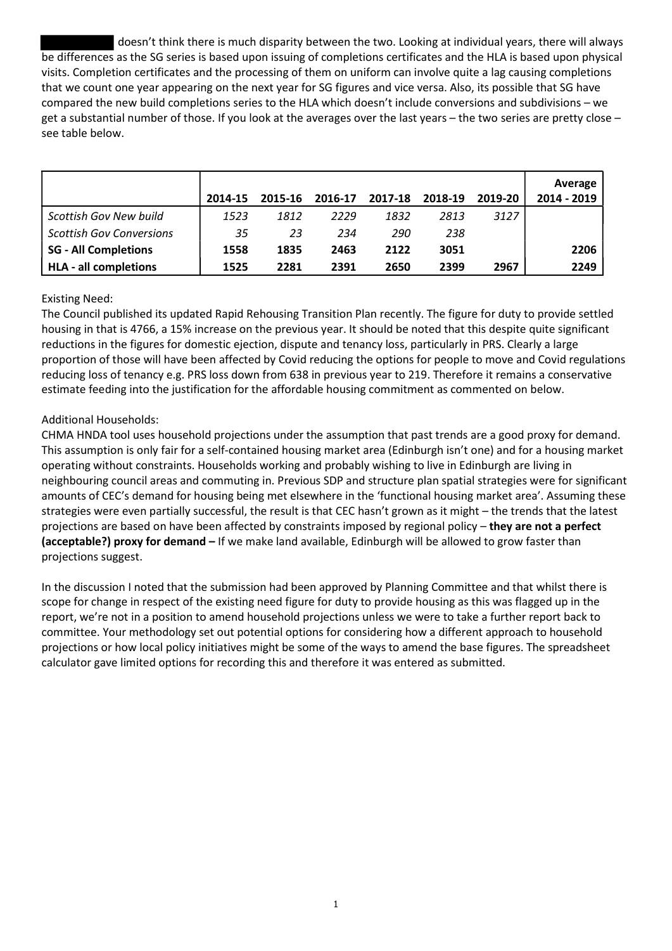doesn't think there is much disparity between the two. Looking at individual years, there will always be differences as the SG series is based upon issuing of completions certificates and the HLA is based upon physical visits. Completion certificates and the processing of them on uniform can involve quite a lag causing completions that we count one year appearing on the next year for SG figures and vice versa. Also, its possible that SG have compared the new build completions series to the HLA which doesn't include conversions and subdivisions – we get a substantial number of those. If you look at the averages over the last years – the two series are pretty close – see table below.

|                                 | 2014-15 | 2015-16 | 2016-17 | 2017-18 | 2018-19 | 2019-20 | Average<br>2014 - 2019 |
|---------------------------------|---------|---------|---------|---------|---------|---------|------------------------|
| <b>Scottish Gov New build</b>   | 1523    | 1812    | 2229    | 1832    | 2813    | 3127    |                        |
| <b>Scottish Gov Conversions</b> | 35      | 23      | 234     | 290     | 238     |         |                        |
| <b>SG - All Completions</b>     | 1558    | 1835    | 2463    | 2122    | 3051    |         | 2206                   |
| <b>HLA - all completions</b>    | 1525    | 2281    | 2391    | 2650    | 2399    | 2967    | 2249                   |

## Existing Need:

The Council published its updated Rapid Rehousing Transition Plan recently. The figure for duty to provide settled housing in that is 4766, a 15% increase on the previous year. It should be noted that this despite quite significant reductions in the figures for domestic ejection, dispute and tenancy loss, particularly in PRS. Clearly a large proportion of those will have been affected by Covid reducing the options for people to move and Covid regulations reducing loss of tenancy e.g. PRS loss down from 638 in previous year to 219. Therefore it remains a conservative estimate feeding into the justification for the affordable housing commitment as commented on below.

## Additional Households:

CHMA HNDA tool uses household projections under the assumption that past trends are a good proxy for demand. This assumption is only fair for a self-contained housing market area (Edinburgh isn't one) and for a housing market operating without constraints. Households working and probably wishing to live in Edinburgh are living in neighbouring council areas and commuting in. Previous SDP and structure plan spatial strategies were for significant amounts of CEC's demand for housing being met elsewhere in the 'functional housing market area'. Assuming these strategies were even partially successful, the result is that CEC hasn't grown as it might – the trends that the latest projections are based on have been affected by constraints imposed by regional policy - they are not a perfect (acceptable?) proxy for demand – If we make land available, Edinburgh will be allowed to grow faster than projections suggest.

In the discussion I noted that the submission had been approved by Planning Committee and that whilst there is scope for change in respect of the existing need figure for duty to provide housing as this was flagged up in the report, we're not in a position to amend household projections unless we were to take a further report back to committee. Your methodology set out potential options for considering how a different approach to household projections or how local policy initiatives might be some of the ways to amend the base figures. The spreadsheet calculator gave limited options for recording this and therefore it was entered as submitted.